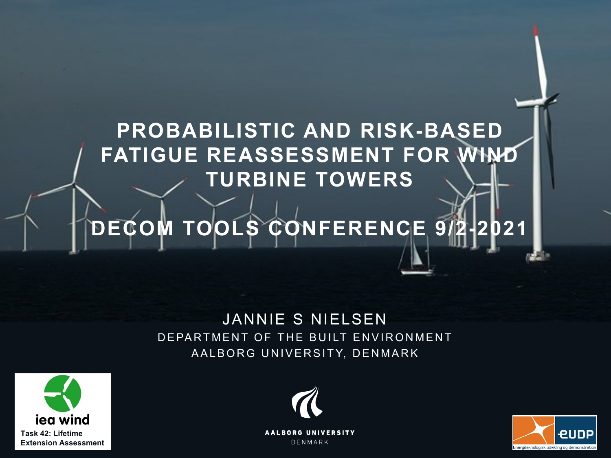# **PROBABILISTIC AND RISK-BASED FATIGUE REASSESSMENT FOR WIND TURBINE TOWERS**

# **DECOM TOOLS CONFERENCE 9/2-2021**

#### JANNIE S NIELSEN DEPARTMENT OF THE BUILT ENVIRONMENT AALBORG UNIVERSITY, DENMARK





**AALBORG UNIVERSITY** DENMARK

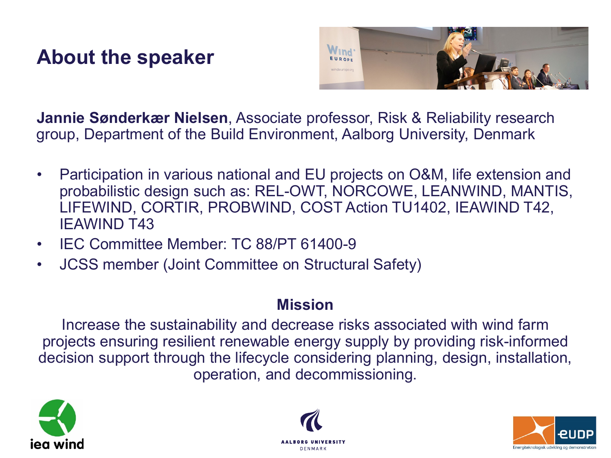#### **About the speaker**



**Jannie Sønderkær Nielsen**, Associate professor, Risk & Reliability research group, Department of the Build Environment, Aalborg University, Denmark

- Participation in various national and EU projects on O&M, life extension and probabilistic design such as: REL-OWT, NORCOWE, LEANWIND, MANTIS, LIFEWIND, CORTIR, PROBWIND, COST Action TU1402, IEAWIND T42, IEAWIND T43
- IEC Committee Member: TC 88/PT 61400-9
- JCSS member (Joint Committee on Structural Safety)

#### **Mission**

Increase the sustainability and decrease risks associated with wind farm projects ensuring resilient renewable energy supply by providing risk-informed decision support through the lifecycle considering planning, design, installation, operation, and decommissioning.





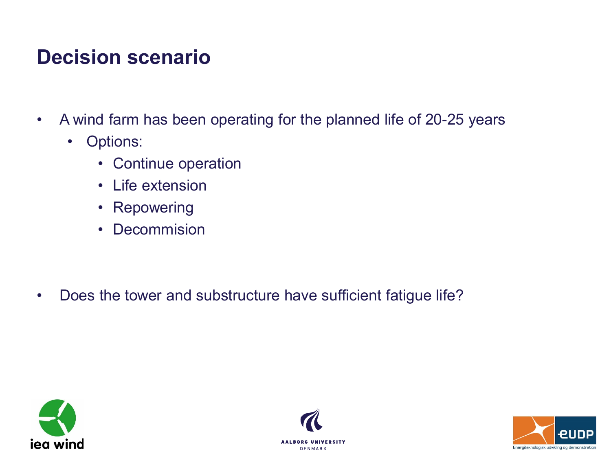### **Decision scenario**

- A wind farm has been operating for the planned life of 20-25 years
	- Options:
		- Continue operation
		- Life extension
		- Repowering
		- Decommision

• Does the tower and substructure have sufficient fatigue life?





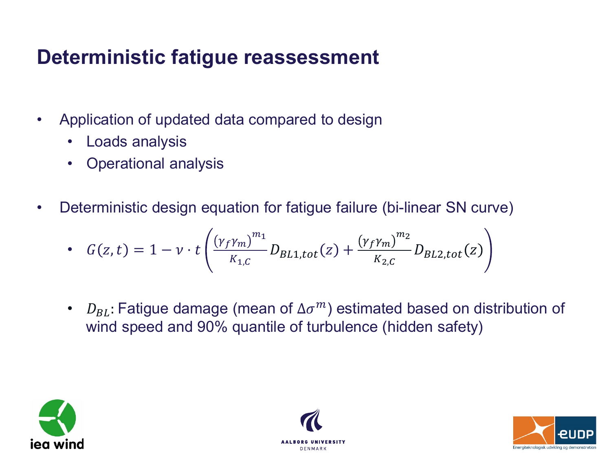# **Deterministic fatigue reassessment**

- Application of updated data compared to design
	- Loads analysis
	- Operational analysis
- Deterministic design equation for fatigue failure (bi-linear SN curve)

• 
$$
G(z,t) = 1 - v \cdot t \left( \frac{(\gamma_f \gamma_m)^{m_1}}{K_{1,C}} D_{BL1,tot}(z) + \frac{(\gamma_f \gamma_m)^{m_2}}{K_{2,C}} D_{BL2,tot}(z) \right)
$$

•  $D_{BL}$ : Fatigue damage (mean of  $\Delta \sigma^m$ ) estimated based on distribution of wind speed and 90% quantile of turbulence (hidden safety)





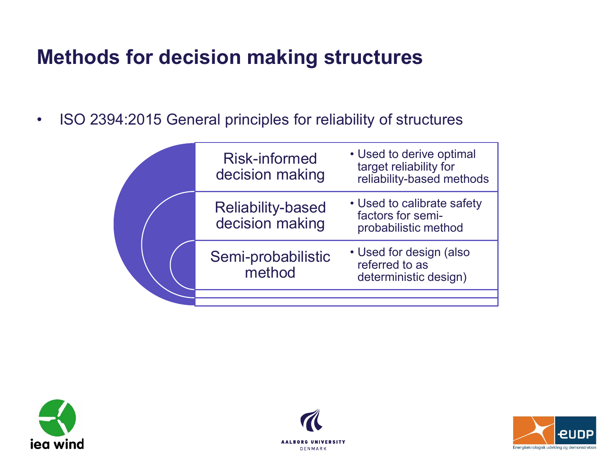# **Methods for decision making structures**

• ISO 2394:2015 General principles for reliability of structures

| <b>Risk-informed</b><br>decision making     | • Used to derive optimal<br>target reliability for<br>reliability-based methods |
|---------------------------------------------|---------------------------------------------------------------------------------|
| <b>Reliability-based</b><br>decision making | • Used to calibrate safety<br>factors for semi-<br>probabilistic method         |
| Semi-probabilistic<br>method                | • Used for design (also<br>referred to as<br>deterministic design)              |
|                                             |                                                                                 |
|                                             |                                                                                 |





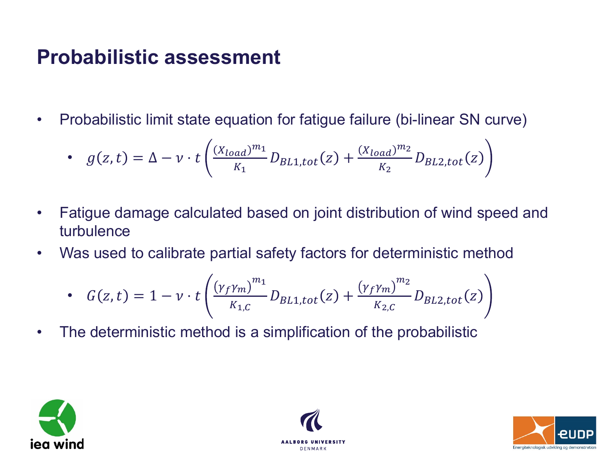#### **Probabilistic assessment**

• Probabilistic limit state equation for fatigue failure (bi-linear SN curve)

• 
$$
g(z,t) = \Delta - \nu \cdot t \left( \frac{(X_{load})^{m_1}}{K_1} D_{BL1,tot}(z) + \frac{(X_{load})^{m_2}}{K_2} D_{BL2,tot}(z) \right)
$$

- Fatigue damage calculated based on joint distribution of wind speed and turbulence
- Was used to calibrate partial safety factors for deterministic method

• 
$$
G(z,t) = 1 - v \cdot t \left( \frac{(v_f v_m)^{m_1}}{K_{1,C}} D_{BL1,tot}(z) + \frac{(v_f v_m)^{m_2}}{K_{2,C}} D_{BL2,tot}(z) \right)
$$

• The deterministic method is a simplification of the probabilistic





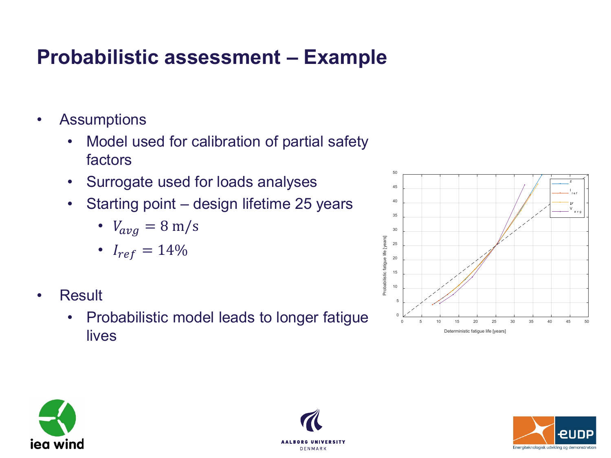# **Probabilistic assessment – Example**

- Assumptions
	- Model used for calibration of partial safety factors
	- Surrogate used for loads analyses
	- Starting point design lifetime 25 years
		- $V_{avg} = 8 \text{ m/s}$
		- $I_{ref} = 14\%$
- Result
	- Probabilistic model leads to longer fatigue lives







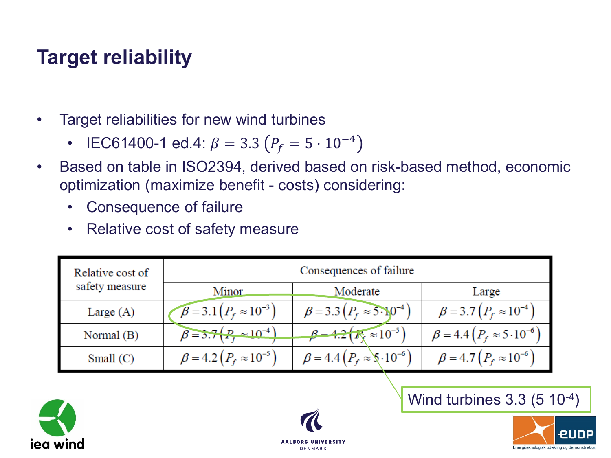# **Target reliability**

- Target reliabilities for new wind turbines
	- IEC61400-1 ed.4:  $\beta = 3.3 (P_f = 5 \cdot 10^{-4})$
- Based on table in ISO2394, derived based on risk-based method, economic optimization (maximize benefit - costs) considering:
	- Consequence of failure
	- Relative cost of safety measure

| Relative cost of<br>safety measure | Consequences of failure                   |                                                |                                       |
|------------------------------------|-------------------------------------------|------------------------------------------------|---------------------------------------|
|                                    | <b>Minor</b>                              | Moderate                                       | Large                                 |
| Large $(A)$                        | $\mathcal{B} = 3.1 (P_f \approx 10^{-3})$ | $\beta = 3.3 (P_f \approx 5.10^{-4})$          | $\beta = 3.7 (P_f \approx 10^{-4})$   |
| Normal (B)                         | $\beta = 3.7 (P_{\rm g} \sim 10^{-4})$    | $\beta = 4.2(\bar{K}_{\rm F} \approx 10^{-5})$ | $\beta = 4.4 (P_f \approx 5.10^{-6})$ |
| Small $(C)$                        | $\beta = 4.2 (P_f \approx 10^{-5})$       | $\beta = 4.4 (P_f \approx 0.10^{-6})$          | $\beta = 4.7 (P_f \approx 10^{-6})$   |





Wind turbines 3.3 (5 10-4)

Energiteknologisk udvikling og demonstratio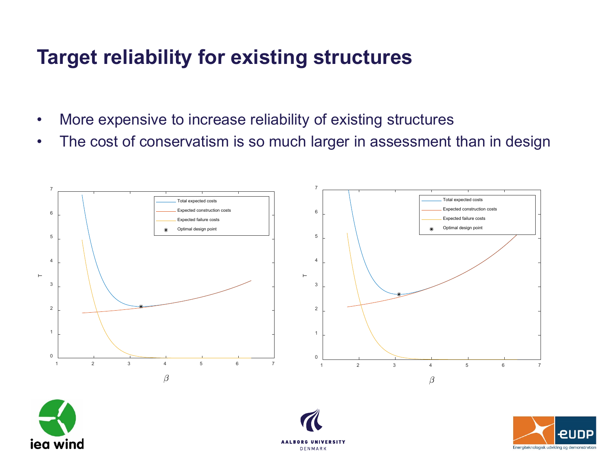# **Target reliability for existing structures**

- More expensive to increase reliability of existing structures
- The cost of conservatism is so much larger in assessment than in design







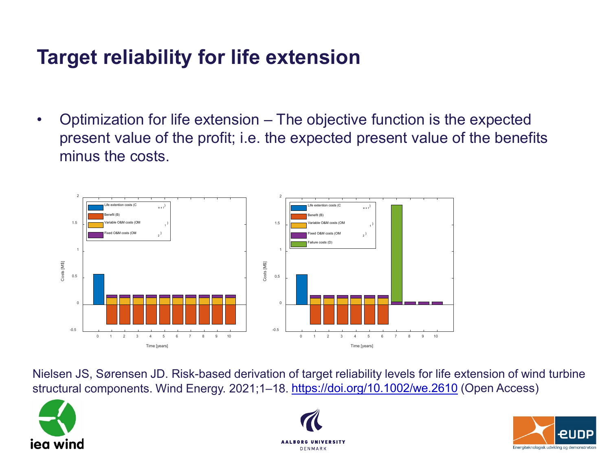# **Target reliability for life extension**

• Optimization for life extension – The objective function is the expected present value of the profit; i.e. the expected present value of the benefits minus the costs.



Nielsen JS, Sørensen JD. Risk-based derivation of target reliability levels for life extension of wind turbine structural components. Wind Energy. 2021;1–18. <https://doi.org/10.1002/we.2610> (Open Access)





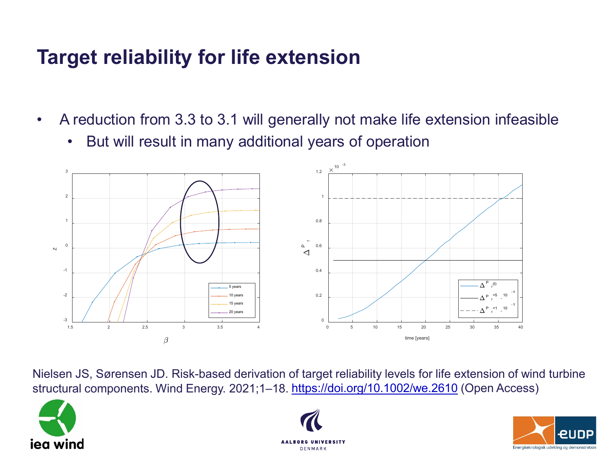# **Target reliability for life extension**

- A reduction from 3.3 to 3.1 will generally not make life extension infeasible
	- But will result in many additional years of operation



Nielsen JS, Sørensen JD. Risk-based derivation of target reliability levels for life extension of wind turbine structural components. Wind Energy. 2021;1–18. <https://doi.org/10.1002/we.2610> (Open Access)





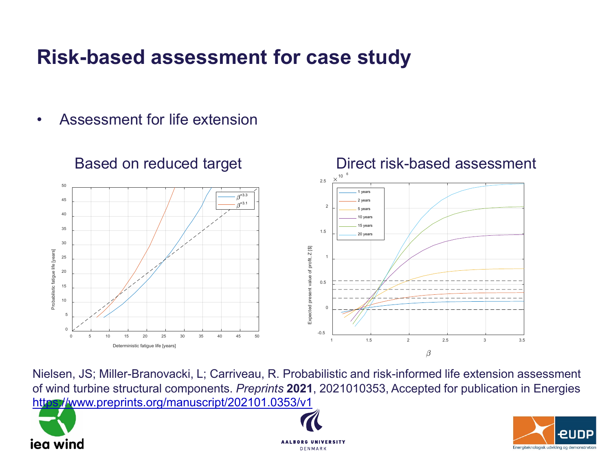#### **Risk-based assessment for case study**

• Assessment for life extension



Nielsen, JS; Miller-Branovacki, L; Carriveau, R. Probabilistic and risk-informed life extension assessment of wind turbine structural components. *Preprints* **2021**, 2021010353, Accepted for publication in Energies <https://www.preprints.org/manuscript/202101.0353/v1>





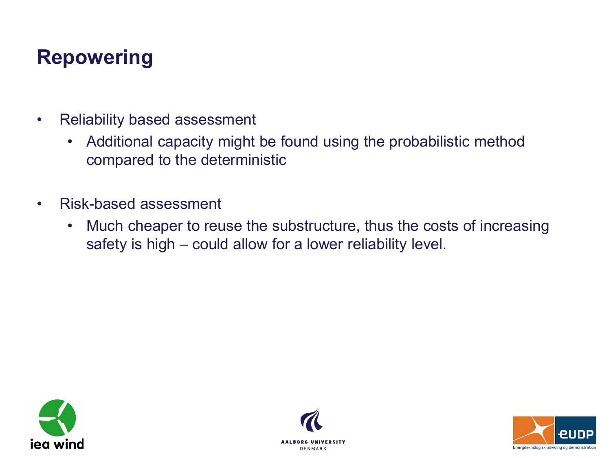#### **Repowering**

- Reliability based assessment
	- Additional capacity might be found using the probabilistic method compared to the deterministic
- Risk-based assessment
	- Much cheaper to reuse the substructure, thus the costs of increasing safety is high – could allow for a lower reliability level.





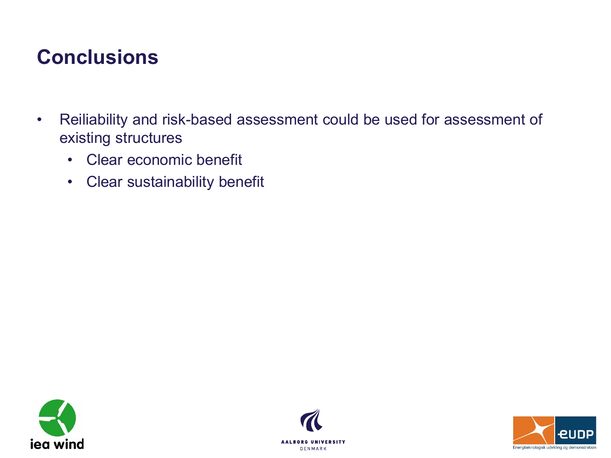#### **Conclusions**

- Reiliability and risk-based assessment could be used for assessment of existing structures
	- Clear economic benefit
	- Clear sustainability benefit